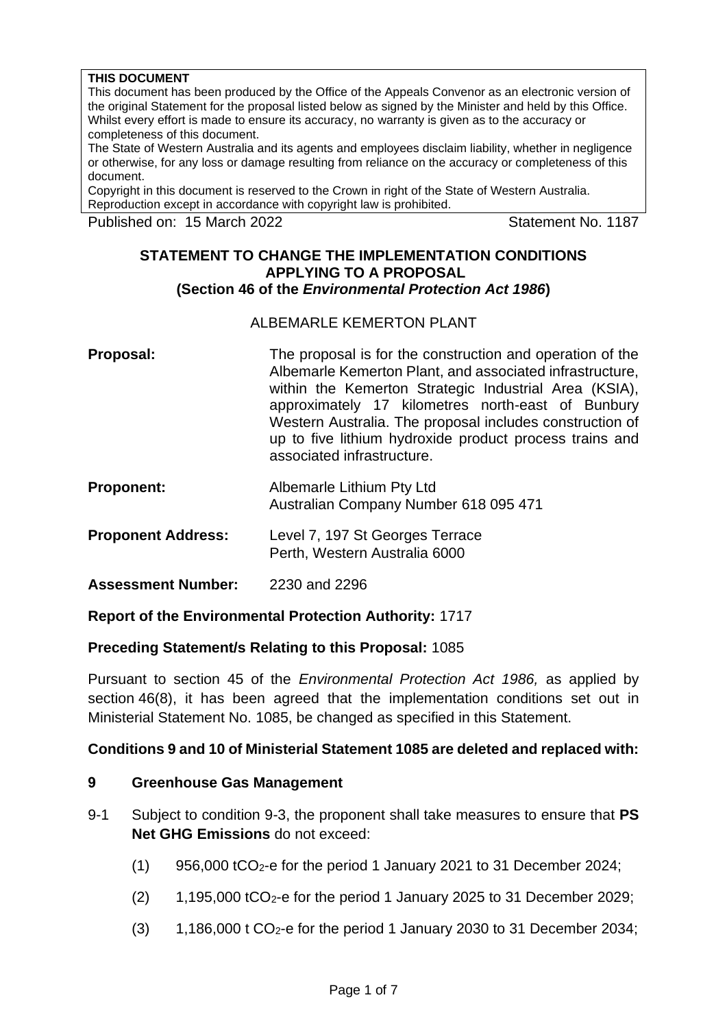#### **THIS DOCUMENT**

This document has been produced by the Office of the Appeals Convenor as an electronic version of the original Statement for the proposal listed below as signed by the Minister and held by this Office. Whilst every effort is made to ensure its accuracy, no warranty is given as to the accuracy or completeness of this document.

The State of Western Australia and its agents and employees disclaim liability, whether in negligence or otherwise, for any loss or damage resulting from reliance on the accuracy or completeness of this document.

Copyright in this document is reserved to the Crown in right of the State of Western Australia. Reproduction except in accordance with copyright law is prohibited.

Published on: 15 March 2022 Statement No. 1187

### **STATEMENT TO CHANGE THE IMPLEMENTATION CONDITIONS APPLYING TO A PROPOSAL (Section 46 of the** *Environmental Protection Act 1986***)**

### ALBEMARLE KEMERTON PLANT

- **Proposal:** The proposal is for the construction and operation of the Albemarle Kemerton Plant, and associated infrastructure, within the Kemerton Strategic Industrial Area (KSIA), approximately 17 kilometres north-east of Bunbury Western Australia. The proposal includes construction of up to five lithium hydroxide product process trains and associated infrastructure.
- **Proponent:** Albemarle Lithium Pty Ltd Australian Company Number 618 095 471
- **Proponent Address:** Level 7, 197 St Georges Terrace Perth, Western Australia 6000
- **Assessment Number:** 2230 and 2296

## **Report of the Environmental Protection Authority:** 1717

## **Preceding Statement/s Relating to this Proposal:** 1085

Pursuant to section 45 of the *Environmental Protection Act 1986,* as applied by section 46(8), it has been agreed that the implementation conditions set out in Ministerial Statement No. 1085, be changed as specified in this Statement.

## **Conditions 9 and 10 of Ministerial Statement 1085 are deleted and replaced with:**

#### **9 Greenhouse Gas Management**

- 9-1 Subject to condition 9-3, the proponent shall take measures to ensure that **PS Net GHG Emissions** do not exceed:
	- $(1)$  956,000 tCO<sub>2</sub>-e for the period 1 January 2021 to 31 December 2024;
	- $(2)$  1,195,000 tCO<sub>2</sub>-e for the period 1 January 2025 to 31 December 2029;
	- $(3)$  1,186,000 t CO<sub>2</sub>-e for the period 1 January 2030 to 31 December 2034;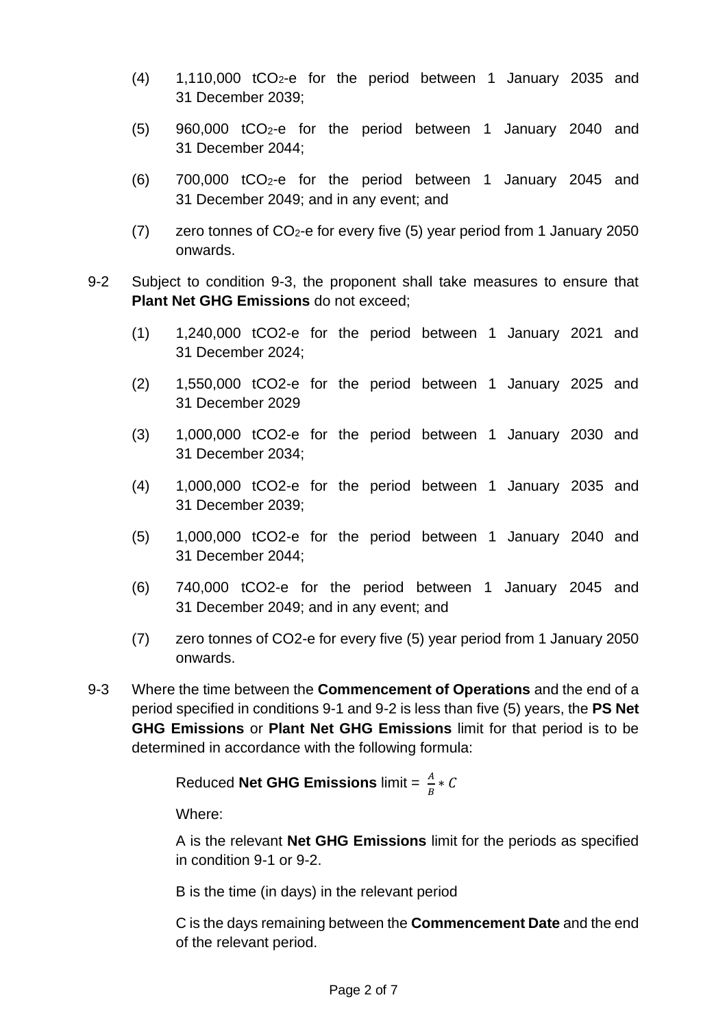- (4) 1,110,000 tCO2-e for the period between 1 January 2035 and 31 December 2039;
- (5) 960,000 tCO2-e for the period between 1 January 2040 and 31 December 2044;
- (6) 700,000 tCO2-e for the period between 1 January 2045 and 31 December 2049; and in any event; and
- (7) zero tonnes of  $CO<sub>2</sub>$ -e for every five (5) year period from 1 January 2050 onwards.
- 9-2 Subject to condition 9-3, the proponent shall take measures to ensure that **Plant Net GHG Emissions** do not exceed;
	- (1) 1,240,000 tCO2-e for the period between 1 January 2021 and 31 December 2024;
	- (2) 1,550,000 tCO2-e for the period between 1 January 2025 and 31 December 2029
	- (3) 1,000,000 tCO2-e for the period between 1 January 2030 and 31 December 2034;
	- (4) 1,000,000 tCO2-e for the period between 1 January 2035 and 31 December 2039;
	- (5) 1,000,000 tCO2-e for the period between 1 January 2040 and 31 December 2044;
	- (6) 740,000 tCO2-e for the period between 1 January 2045 and 31 December 2049; and in any event; and
	- (7) zero tonnes of CO2-e for every five (5) year period from 1 January 2050 onwards.
- 9-3 Where the time between the **Commencement of Operations** and the end of a period specified in conditions 9-1 and 9-2 is less than five (5) years, the **PS Net GHG Emissions** or **Plant Net GHG Emissions** limit for that period is to be determined in accordance with the following formula:

Reduced **Net GHG Emissions** limit =  $\frac{A}{B} * C$ 

Where:

A is the relevant **Net GHG Emissions** limit for the periods as specified in condition 9-1 or 9-2.

B is the time (in days) in the relevant period

C is the days remaining between the **Commencement Date** and the end of the relevant period.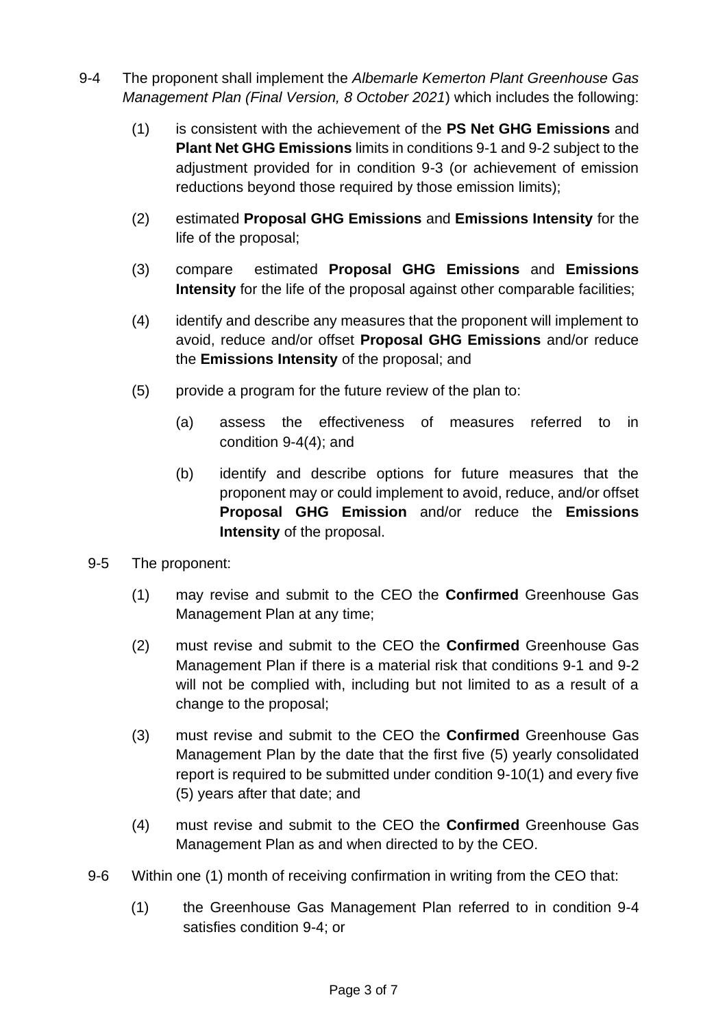- 9-4 The proponent shall implement the *Albemarle Kemerton Plant Greenhouse Gas Management Plan (Final Version, 8 October 2021*) which includes the following:
	- (1) is consistent with the achievement of the **PS Net GHG Emissions** and **Plant Net GHG Emissions** limits in conditions 9-1 and 9-2 subject to the adjustment provided for in condition 9-3 (or achievement of emission reductions beyond those required by those emission limits);
	- (2) estimated **Proposal GHG Emissions** and **Emissions Intensity** for the life of the proposal;
	- (3) compare estimated **Proposal GHG Emissions** and **Emissions Intensity** for the life of the proposal against other comparable facilities:
	- (4) identify and describe any measures that the proponent will implement to avoid, reduce and/or offset **Proposal GHG Emissions** and/or reduce the **Emissions Intensity** of the proposal; and
	- (5) provide a program for the future review of the plan to:
		- (a) assess the effectiveness of measures referred to in condition 9-4(4); and
		- (b) identify and describe options for future measures that the proponent may or could implement to avoid, reduce, and/or offset **Proposal GHG Emission** and/or reduce the **Emissions Intensity** of the proposal.
	- 9-5 The proponent:
		- (1) may revise and submit to the CEO the **Confirmed** Greenhouse Gas Management Plan at any time;
		- (2) must revise and submit to the CEO the **Confirmed** Greenhouse Gas Management Plan if there is a material risk that conditions 9-1 and 9-2 will not be complied with, including but not limited to as a result of a change to the proposal;
		- (3) must revise and submit to the CEO the **Confirmed** Greenhouse Gas Management Plan by the date that the first five (5) yearly consolidated report is required to be submitted under condition 9-10(1) and every five (5) years after that date; and
		- (4) must revise and submit to the CEO the **Confirmed** Greenhouse Gas Management Plan as and when directed to by the CEO.
- 9-6 Within one (1) month of receiving confirmation in writing from the CEO that:
	- (1) the Greenhouse Gas Management Plan referred to in condition 9-4 satisfies condition 9-4; or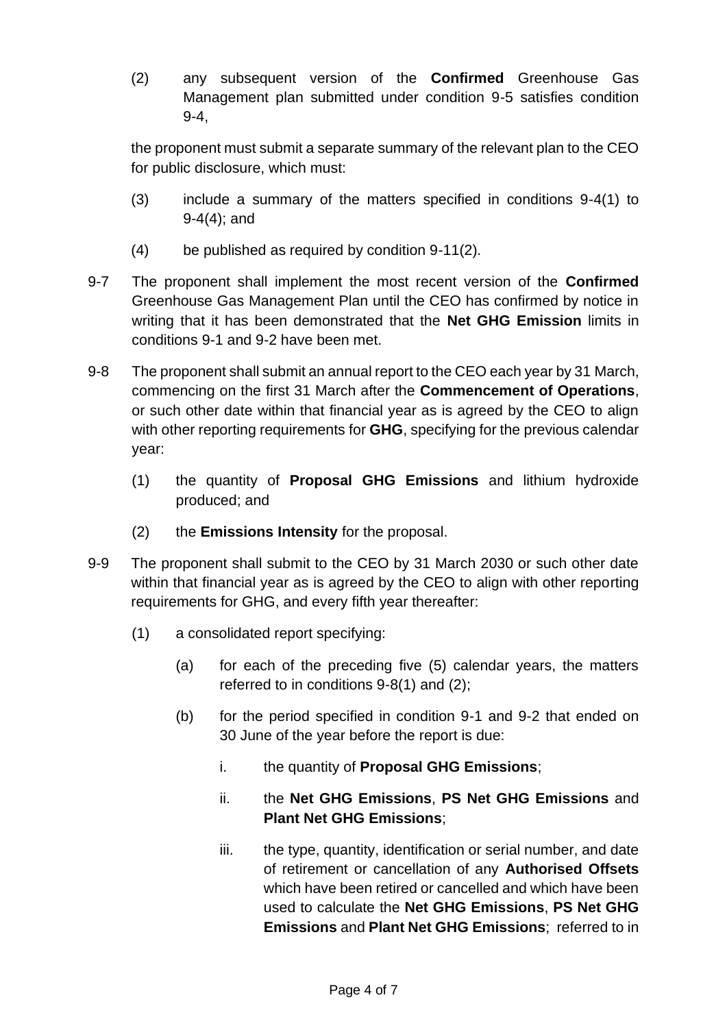(2) any subsequent version of the **Confirmed** Greenhouse Gas Management plan submitted under condition 9-5 satisfies condition 9-4,

the proponent must submit a separate summary of the relevant plan to the CEO for public disclosure, which must:

- (3) include a summary of the matters specified in conditions 9-4(1) to 9-4(4); and
- (4) be published as required by condition 9-11(2).
- 9-7 The proponent shall implement the most recent version of the **Confirmed**  Greenhouse Gas Management Plan until the CEO has confirmed by notice in writing that it has been demonstrated that the **Net GHG Emission** limits in conditions 9-1 and 9-2 have been met.
- 9-8 The proponent shall submit an annual report to the CEO each year by 31 March, commencing on the first 31 March after the **Commencement of Operations**, or such other date within that financial year as is agreed by the CEO to align with other reporting requirements for **GHG**, specifying for the previous calendar year:
	- (1) the quantity of **Proposal GHG Emissions** and lithium hydroxide produced; and
	- (2) the **Emissions Intensity** for the proposal.
- <span id="page-3-0"></span>9-9 The proponent shall submit to the CEO by 31 March 2030 or such other date within that financial year as is agreed by the CEO to align with other reporting requirements for GHG, and every fifth year thereafter:
	- (1) a consolidated report specifying:
		- (a) for each of the preceding five (5) calendar years, the matters referred to in conditions 9-8(1) and (2);
		- (b) for the period specified in condition 9-1 and 9-2 that ended on 30 June of the year before the report is due:
			- i. the quantity of **Proposal GHG Emissions**;
			- ii. the **Net GHG Emissions**, **PS Net GHG Emissions** and **Plant Net GHG Emissions**;
			- iii. the type, quantity, identification or serial number, and date of retirement or cancellation of any **Authorised Offsets**  which have been retired or cancelled and which have been used to calculate the **Net GHG Emissions**, **PS Net GHG Emissions** and **Plant Net GHG Emissions**; referred to in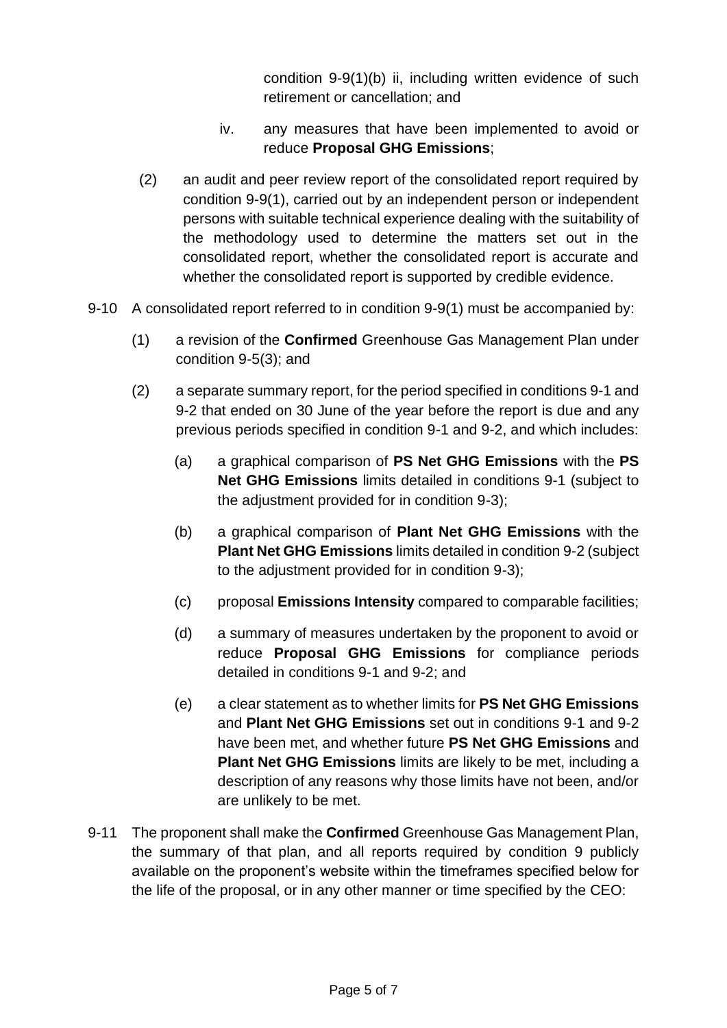condition 9-9(1)(b) [ii,](#page-3-0) including written evidence of such retirement or cancellation; and

- iv. any measures that have been implemented to avoid or reduce **Proposal GHG Emissions**;
- (2) an audit and peer review report of the consolidated report required by condition 9-9(1), carried out by an independent person or independent persons with suitable technical experience dealing with the suitability of the methodology used to determine the matters set out in the consolidated report, whether the consolidated report is accurate and whether the consolidated report is supported by credible evidence.
- 9-10 A consolidated report referred to in condition 9-9(1) must be accompanied by:
	- (1) a revision of the **Confirmed** Greenhouse Gas Management Plan under condition 9-5(3); and
	- (2) a separate summary report, for the period specified in conditions 9-1 and 9-2 that ended on 30 June of the year before the report is due and any previous periods specified in condition 9-1 and 9-2, and which includes:
		- (a) a graphical comparison of **PS Net GHG Emissions** with the **PS Net GHG Emissions** limits detailed in conditions 9-1 (subject to the adjustment provided for in condition 9-3);
		- (b) a graphical comparison of **Plant Net GHG Emissions** with the **Plant Net GHG Emissions** limits detailed in condition 9-2 (subject to the adjustment provided for in condition 9-3);
		- (c) proposal **Emissions Intensity** compared to comparable facilities;
		- (d) a summary of measures undertaken by the proponent to avoid or reduce **Proposal GHG Emissions** for compliance periods detailed in conditions 9-1 and 9-2; and
		- (e) a clear statement as to whether limits for **PS Net GHG Emissions** and **Plant Net GHG Emissions** set out in conditions 9-1 and 9-2 have been met, and whether future **PS Net GHG Emissions** and **Plant Net GHG Emissions** limits are likely to be met, including a description of any reasons why those limits have not been, and/or are unlikely to be met.
- 9-11 The proponent shall make the **Confirmed** Greenhouse Gas Management Plan, the summary of that plan, and all reports required by condition 9 publicly available on the proponent's website within the timeframes specified below for the life of the proposal, or in any other manner or time specified by the CEO: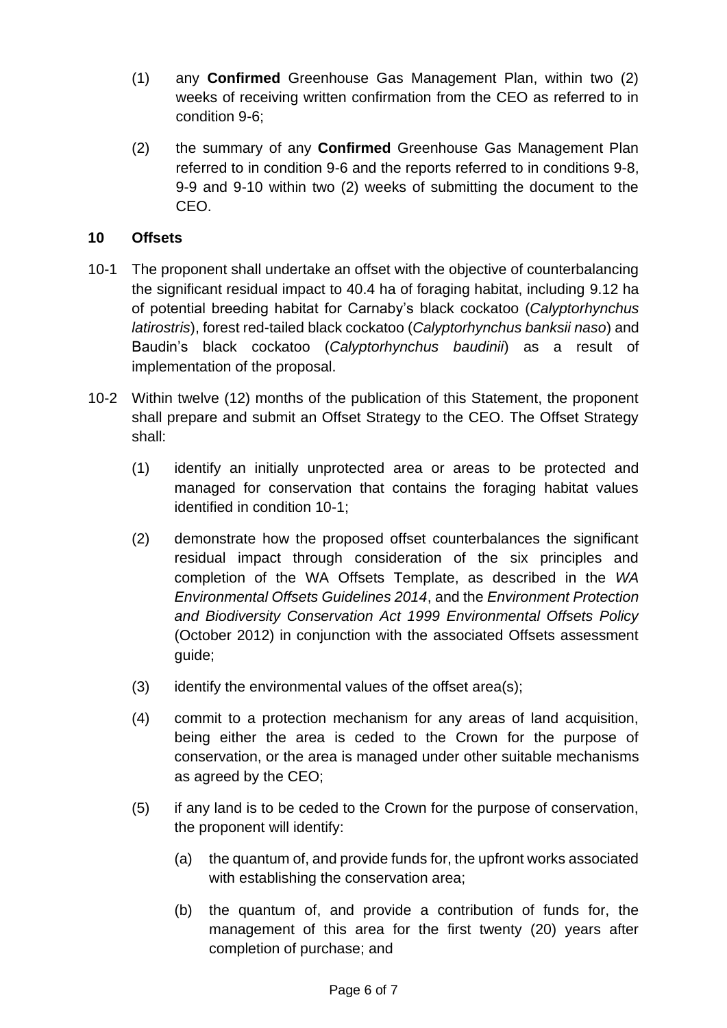- (1) any **Confirmed** Greenhouse Gas Management Plan, within two (2) weeks of receiving written confirmation from the CEO as referred to in condition 9-6;
- (2) the summary of any **Confirmed** Greenhouse Gas Management Plan referred to in condition 9-6 and the reports referred to in conditions 9-8, 9-9 and 9-10 within two (2) weeks of submitting the document to the CEO.

# **10 Offsets**

- 10-1 The proponent shall undertake an offset with the objective of counterbalancing the significant residual impact to 40.4 ha of foraging habitat, including 9.12 ha of potential breeding habitat for Carnaby's black cockatoo (*Calyptorhynchus latirostris*), forest red-tailed black cockatoo (*Calyptorhynchus banksii naso*) and Baudin's black cockatoo (*Calyptorhynchus baudinii*) as a result of implementation of the proposal.
- 10-2 Within twelve (12) months of the publication of this Statement, the proponent shall prepare and submit an Offset Strategy to the CEO. The Offset Strategy shall:
	- (1) identify an initially unprotected area or areas to be protected and managed for conservation that contains the foraging habitat values identified in condition 10-1;
	- (2) demonstrate how the proposed offset counterbalances the significant residual impact through consideration of the six principles and completion of the WA Offsets Template, as described in the *WA Environmental Offsets Guidelines 2014*, and the *Environment Protection and Biodiversity Conservation Act 1999 Environmental Offsets Policy*  (October 2012) in conjunction with the associated Offsets assessment guide;
	- (3) identify the environmental values of the offset area(s);
	- (4) commit to a protection mechanism for any areas of land acquisition, being either the area is ceded to the Crown for the purpose of conservation, or the area is managed under other suitable mechanisms as agreed by the CEO;
	- (5) if any land is to be ceded to the Crown for the purpose of conservation, the proponent will identify:
		- (a) the quantum of, and provide funds for, the upfront works associated with establishing the conservation area;
		- (b) the quantum of, and provide a contribution of funds for, the management of this area for the first twenty (20) years after completion of purchase; and